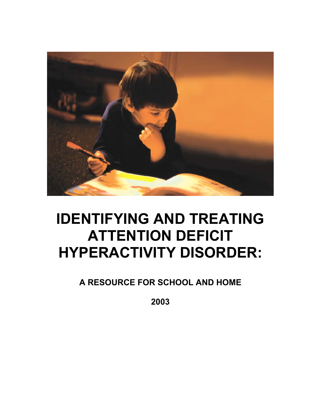

# **IDENTIFYING AND TREATING ATTENTION DEFICIT HYPERACTIVITY DISORDER:**

**A RESOURCE FOR SCHOOL AND HOME** 

**2003**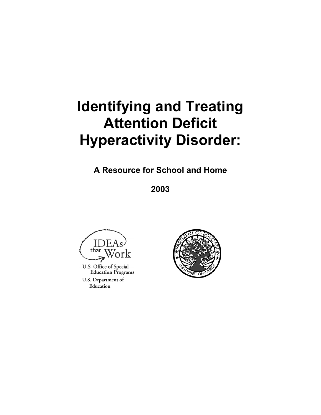# **Identifying and Treating Attention Deficit Hyperactivity Disorder:**

**A Resource for School and Home** 

**2003** 



U.S. Office of Special **Education Programs** 

**U.S. Department of Education** 

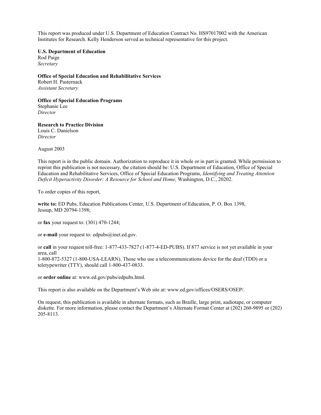This report was produced under U.S. Department of Education Contract No. HS97017002 with the American Institutes for Research. Kelly Henderson served as technical representative for this project.

**U.S. Department of Education**  Rod Paige *Secretary*

**Office of Special Education and Rehabilitative Services**  Robert H. Pasternack *Assistant Secretary*

**Office of Special Education Programs**  Stephanie Lee *Director*

**Research to Practice Division**  Louis C. Danielson *Director*

August 2003

This report is in the public domain. Authorization to reproduce it in whole or in part is granted. While permission to reprint this publication is not necessary, the citation should be: U.S. Department of Education, Office of Special Education and Rehabilitative Services, Office of Special Education Programs, *Identifying and Treating Attention Deficit Hyperactivity Disorder: A Resource for School and Home,* Washington, D.C., 20202.

To order copies of this report,

**write to:** ED Pubs, Education Publications Center, U.S. Department of Education, P. O. Box 1398, Jessup, MD 20794-1398;

or **fax** your request to: (301) 470-1244;

or **e-mail** your request to: edpubs@inet.ed.gov.

or **call** in your request toll-free: 1-877-433-7827 (1-877-4-ED-PUBS). If 877 service is not yet available in your area, call

1-800-872-5327 (1-800-USA-LEARN). Those who use a telecommunications device for the deaf (TDD) or a teletypewriter (TTY), should call 1-800-437-0833.

or **order online** at: www.ed.gov/pubs/edpubs.html.

This report is also available on the Department's Web site at: www.ed.gov/offices/OSERS/OSEP/.

On request, this publication is available in alternate formats, such as Braille, large print, audiotape, or computer diskette. For more information, please contact the Department's Alternate Format Center at (202) 260-9895 or (202) 205-8113.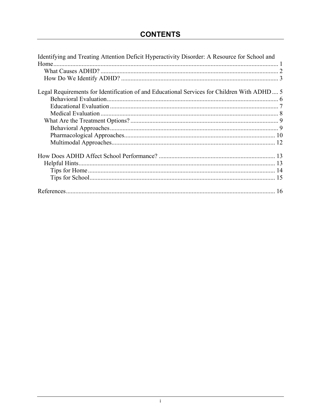# **CONTENTS**

| Identifying and Treating Attention Deficit Hyperactivity Disorder: A Resource for School and<br>Home. |  |
|-------------------------------------------------------------------------------------------------------|--|
|                                                                                                       |  |
|                                                                                                       |  |
| Legal Requirements for Identification of and Educational Services for Children With ADHD 5            |  |
|                                                                                                       |  |
|                                                                                                       |  |
|                                                                                                       |  |
|                                                                                                       |  |
|                                                                                                       |  |
|                                                                                                       |  |
|                                                                                                       |  |
|                                                                                                       |  |
|                                                                                                       |  |
|                                                                                                       |  |
|                                                                                                       |  |
|                                                                                                       |  |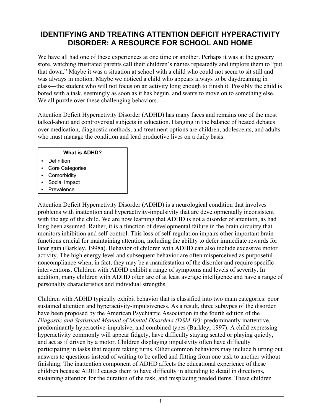# <span id="page-4-0"></span>**IDENTIFYING AND TREATING ATTENTION DEFICIT HYPERACTIVITY DISORDER: A RESOURCE FOR SCHOOL AND HOME**

We have all had one of these experiences at one time or another. Perhaps it was at the grocery store, watching frustrated parents call their children's names repeatedly and implore them to "put that down." Maybe it was a situation at school with a child who could not seem to sit still and was always in motion. Maybe we noticed a child who appears always to be daydreaming in class—the student who will not focus on an activity long enough to finish it. Possibly the child is bored with a task, seemingly as soon as it has begun, and wants to move on to something else. We all puzzle over these challenging behaviors.

Attention Deficit Hyperactivity Disorder (ADHD) has many faces and remains one of the most talked-about and controversial subjects in education. Hanging in the balance of heated debates over medication, diagnostic methods, and treatment options are children, adolescents, and adults who must manage the condition and lead productive lives on a daily basis.

#### **What is ADHD?**

- Definition
- Core Categories
- Comorbidity
- Social Impact
- Prevalence •

Attention Deficit Hyperactivity Disorder (ADHD) is a neurological condition that involves problems with inattention and hyperactivity-impulsivity that are developmentally inconsistent with the age of the child. We are now learning that ADHD is not a disorder of attention, as had long been assumed. Rather, it is a function of developmental failure in the brain circuitry that monitors inhibition and self-control. This loss of self-regulation impairs other important brain functions crucial for maintaining attention, including the ability to defer immediate rewards for later gain (Barkley, 1998a). Behavior of children with ADHD can also include excessive motor activity. The high energy level and subsequent behavior are often misperceived as purposeful noncompliance when, in fact, they may be a manifestation of the disorder and require specific interventions. Children with ADHD exhibit a range of symptoms and levels of severity. In addition, many children with ADHD often are of at least average intelligence and have a range of personality characteristics and individual strengths.

Children with ADHD typically exhibit behavior that is classified into two main categories: poor sustained attention and hyperactivity-impulsiveness. As a result, three subtypes of the disorder have been proposed by the American Psychiatric Association in the fourth edition of the *Diagostic and Statistical Manual of Mental Disorders (DSM-IV):* predominantly inattentive, predominantly hyperactive-impulsive, and combined types (Barkley, 1997). A child expressing hyperactivity commonly will appear fidgety, have difficulty staying seated or playing quietly, and act as if driven by a motor. Children displaying impulsivity often have difficulty participating in tasks that require taking turns. Other common behaviors may include blurting out answers to questions instead of waiting to be called and flitting from one task to another without finishing. The inattention component of ADHD affects the educational experience of these children because ADHD causes them to have difficulty in attending to detail in directions, sustaining attention for the duration of the task, and misplacing needed items. These children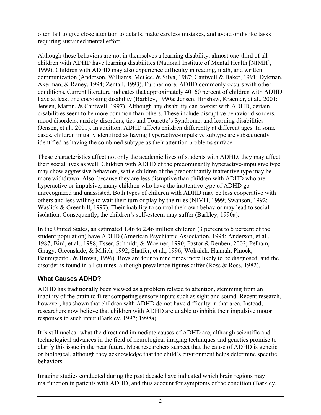<span id="page-5-0"></span>often fail to give close attention to details, make careless mistakes, and avoid or dislike tasks requiring sustained mental effort.

Although these behaviors are not in themselves a learning disability, almost one-third of all children with ADHD have learning disabilities (National Institute of Mental Health [NIMH], 1999). Children with ADHD may also experience difficulty in reading, math, and written communication (Anderson, Williams, McGee, & Silva, 1987; Cantwell & Baker, 1991; Dykman, Akerman, & Raney, 1994; Zentall, 1993). Furthermore, ADHD commonly occurs with other conditions. Current literature indicates that approximately 40–60 percent of children with ADHD have at least one coexisting disability (Barkley, 1990a; Jensen, Hinshaw, Kraemer, et al., 2001; Jensen, Martin, & Cantwell, 1997). Although any disability can coexist with ADHD, certain disabilities seem to be more common than others. These include disruptive behavior disorders, mood disorders, anxiety disorders, tics and Tourette's Syndrome, and learning disabilities (Jensen, et al., 2001). In addition, ADHD affects children differently at different ages. In some cases, children initially identified as having hyperactive-impulsive subtype are subsequently identified as having the combined subtype as their attention problems surface.

These characteristics affect not only the academic lives of students with ADHD, they may affect their social lives as well. Children with ADHD of the predominantly hyperactive-impulsive type may show aggressive behaviors, while children of the predominantly inattentive type may be more withdrawn. Also, because they are less disruptive than children with ADHD who are hyperactive or impulsive, many children who have the inattentive type of ADHD go unrecognized and unassisted. Both types of children with ADHD may be less cooperative with others and less willing to wait their turn or play by the rules (NIMH, 1999; Swanson, 1992; Waslick & Greenhill, 1997). Their inability to control their own behavior may lead to social isolation. Consequently, the children's self-esteem may suffer (Barkley, 1990a).

In the United States, an estimated 1.46 to 2.46 million children (3 percent to 5 percent of the student population) have ADHD (American Psychiatric Association, 1994; Anderson, et al., 1987; Bird, et al., 1988; Esser, Schmidt, & Woemer, 1990; Pastor & Reuben, 2002; Pelham, Gnagy, Greenslade, & Milich, 1992; Shaffer, et al., 1996; Wolraich, Hannah, Pinock, Baumgaertel, & Brown, 1996). Boys are four to nine times more likely to be diagnosed, and the disorder is found in all cultures, although prevalence figures differ (Ross & Ross, 1982).

## **What Causes ADHD?**

ADHD has traditionally been viewed as a problem related to attention, stemming from an inability of the brain to filter competing sensory inputs such as sight and sound. Recent research, however, has shown that children with ADHD do not have difficulty in that area. Instead, researchers now believe that children with ADHD are unable to inhibit their impulsive motor responses to such input (Barkley, 1997; 1998a).

It is still unclear what the direct and immediate causes of ADHD are, although scientific and technological advances in the field of neurological imaging techniques and genetics promise to clarify this issue in the near future. Most researchers suspect that the cause of ADHD is genetic or biological, although they acknowledge that the child's environment helps determine specific behaviors.

Imaging studies conducted during the past decade have indicated which brain regions may malfunction in patients with ADHD, and thus account for symptoms of the condition (Barkley,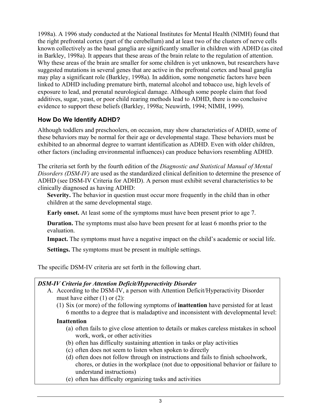<span id="page-6-0"></span>1998a). A 1996 study conducted at the National Institutes for Mental Health (NIMH) found that the right prefrontal cortex (part of the cerebellum) and at least two of the clusters of nerve cells known collectively as the basal ganglia are significantly smaller in children with ADHD (as cited in Barkley, 1998a). It appears that these areas of the brain relate to the regulation of attention. Why these areas of the brain are smaller for some children is yet unknown, but researchers have suggested mutations in several genes that are active in the prefrontal cortex and basal ganglia may play a significant role (Barkley, 1998a). In addition, some nongenetic factors have been linked to ADHD including premature birth, maternal alcohol and tobacco use, high levels of exposure to lead, and prenatal neurological damage. Although some people claim that food additives, sugar, yeast, or poor child rearing methods lead to ADHD, there is no conclusive evidence to support these beliefs (Barkley, 1998a; Neuwirth, 1994; NIMH, 1999).

## **How Do We Identify ADHD?**

Although toddlers and preschoolers, on occasion, may show characteristics of ADHD, some of these behaviors may be normal for their age or developmental stage. These behaviors must be exhibited to an abnormal degree to warrant identification as ADHD. Even with older children, other factors (including environmental influences) can produce behaviors resembling ADHD.

The criteria set forth by the fourth edition of the *Diagnostic and Statistical Manual of Mental Disorders (DSM-IV)* are used as the standardized clinical definition to determine the presence of ADHD (see DSM-IV Criteria for ADHD). A person must exhibit several characteristics to be clinically diagnosed as having ADHD:

**Severity.** The behavior in question must occur more frequently in the child than in other children at the same developmental stage.

**Early onset.** At least some of the symptoms must have been present prior to age 7.

**Duration.** The symptoms must also have been present for at least 6 months prior to the evaluation.

**Impact.** The symptoms must have a negative impact on the child's academic or social life.

**Settings.** The symptoms must be present in multiple settings.

The specific DSM-IV criteria are set forth in the following chart.

#### *DSM-IV Criteria for Attention Deficit/Hyperactivity Disorder*

- A. According to the DSM-IV, a person with Attention Deficit/Hyperactivity Disorder must have either (1) or (2):
	- (1) Six (or more) of the following symptoms of **inattention** have persisted for at least 6 months to a degree that is maladaptive and inconsistent with developmental level:

#### **Inattention**

- (a) often fails to give close attention to details or makes careless mistakes in school work, work, or other activities
- (b) often has difficulty sustaining attention in tasks or play activities
- (c) often does not seem to listen when spoken to directly
- (d) often does not follow through on instructions and fails to finish schoolwork, chores, or duties in the workplace (not due to oppositional behavior or failure to understand instructions)
- (e) often has difficulty organizing tasks and activities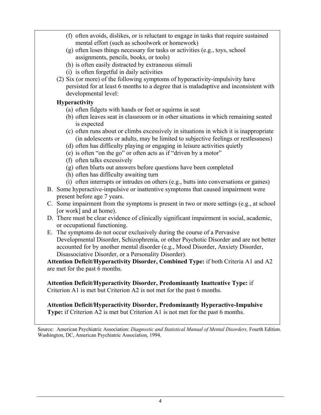- (f) often avoids, dislikes, or is reluctant to engage in tasks that require sustained mental effort (such as schoolwork or homework)
- (g) often loses things necessary for tasks or activities (e.g., toys, school assignments, pencils, books, or tools)
- (h) is often easily distracted by extraneous stimuli
- (i) is often forgetful in daily activities
- (2) Six (or more) of the following symptoms of hyperactivity-impulsivity have persisted for at least 6 months to a degree that is maladaptive and inconsistent with developmental level:

## **Hyperactivity**

- (a) often fidgets with hands or feet or squirms in seat
- (b) often leaves seat in classroom or in other situations in which remaining seated is expected
- (c) often runs about or climbs excessively in situations in which it is inappropriate (in adolescents or adults, may be limited to subjective feelings or restlessness)
- (d) often has difficulty playing or engaging in leisure activities quietly
- (e) is often "on the go" or often acts as if "driven by a motor"
- (f) often talks excessively
- (g) often blurts out answers before questions have been completed
- (h) often has difficulty awaiting turn
- (i) often interrupts or intrudes on others (e.g., butts into conversations or games)
- B. Some hyperactive-impulsive or inattentive symptoms that caused impairment were present before age 7 years.
- C. Some impairment from the symptoms is present in two or more settings (e.g., at school [or work] and at home).
- D. There must be clear evidence of clinically significant impairment in social, academic, or occupational functioning.
- E. The symptoms do not occur exclusively during the course of a Pervasive Developmental Disorder, Schizophrenia, or other Psychotic Disorder and are not better accounted for by another mental disorder (e.g., Mood Disorder, Anxiety Disorder, Disassociative Disorder, or a Personality Disorder).

**Attention Deficit/Hyperactivity Disorder, Combined Type:** if both Criteria A1 and A2 are met for the past 6 months.

**Attention Deficit/Hyperactivity Disorder, Predominantly Inattentive Type:** if Criterion A1 is met but Criterion A2 is not met for the past 6 months.

**Attention Deficit/Hyperactivity Disorder, Predominantly Hyperactive-Impulsive Type:** if Criterion A2 is met but Criterion A1 is not met for the past 6 months.

Source: American Psychiatric Association: *Diagnostic and Statistical Manual of Mental Disorders,* Fourth Edition. Washington, DC, American Psychiatric Association, 1994.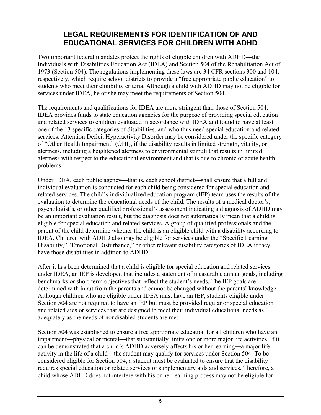## **LEGAL REQUIREMENTS FOR IDENTIFICATION OF AND EDUCATIONAL SERVICES FOR CHILDREN WITH ADHD**

<span id="page-8-0"></span>Two important federal mandates protect the rights of eligible children with ADHD—the Individuals with Disabilities Education Act (IDEA) and Section 504 of the Rehabilitation Act of 1973 (Section 504). The regulations implementing these laws are 34 CFR sections 300 and 104, respectively, which require school districts to provide a "free appropriate public education" to students who meet their eligibility criteria. Although a child with ADHD may not be eligible for services under IDEA, he or she may meet the requirements of Section 504.

The requirements and qualifications for IDEA are more stringent than those of Section 504. IDEA provides funds to state education agencies for the purpose of providing special education and related services to children evaluated in accordance with IDEA and found to have at least one of the 13 specific categories of disabilities, and who thus need special education and related services. Attention Deficit Hyperactivity Disorder may be considered under the specific category of "Other Health Impairment" (OHI), if the disability results in limited strength, vitality, or alertness, including a heightened alertness to environmental stimuli that results in limited alertness with respect to the educational environment and that is due to chronic or acute health problems.

Under IDEA, each public agency—that is, each school district—shall ensure that a full and individual evaluation is conducted for each child being considered for special education and related services. The child's individualized education program (IEP) team uses the results of the evaluation to determine the educational needs of the child. The results of a medical doctor's, psychologist's, or other qualified professional's assessment indicating a diagnosis of ADHD may be an important evaluation result, but the diagnosis does not automatically mean that a child is eligible for special education and related services. A group of qualified professionals and the parent of the child determine whether the child is an eligible child with a disability according to IDEA. Children with ADHD also may be eligible for services under the "Specific Learning Disability," "Emotional Disturbance," or other relevant disability categories of IDEA if they have those disabilities in addition to ADHD.

After it has been determined that a child is eligible for special education and related services under IDEA, an IEP is developed that includes a statement of measurable annual goals, including benchmarks or short-term objectives that reflect the student's needs. The IEP goals are determined with input from the parents and cannot be changed without the parents' knowledge. Although children who are eligible under IDEA must have an IEP, students eligible under Section 504 are not required to have an IEP but must be provided regular or special education and related aids or services that are designed to meet their individual educational needs as adequately as the needs of nondisabled students are met.

Section 504 was established to ensure a free appropriate education for all children who have an impairment—physical or mental—that substantially limits one or more major life activities. If it can be demonstrated that a child's ADHD adversely affects his or her learning—a major life activity in the life of a child—the student may qualify for services under Section 504. To be considered eligible for Section 504, a student must be evaluated to ensure that the disability requires special education or related services or supplementary aids and services. Therefore, a child whose ADHD does not interfere with his or her learning process may not be eligible for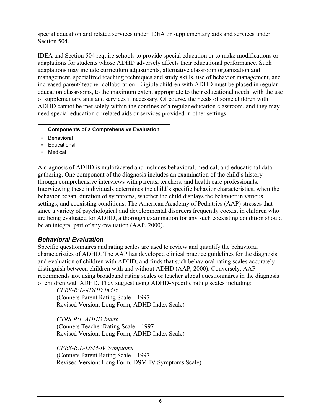<span id="page-9-0"></span>special education and related services under IDEA or supplementary aids and services under Section 504.

IDEA and Section 504 require schools to provide special education or to make modifications or adaptations for students whose ADHD adversely affects their educational performance. Such adaptations may include curriculum adjustments, alternative classroom organization and management, specialized teaching techniques and study skills, use of behavior management, and increased parent/ teacher collaboration. Eligible children with ADHD must be placed in regular education classrooms, to the maximum extent appropriate to their educational needs, with the use of supplementary aids and services if necessary. Of course, the needs of some children with ADHD cannot be met solely within the confines of a regular education classroom, and they may need special education or related aids or services provided in other settings.

#### **Components of a Comprehensive Evaluation**

- Behavioral
- Educational
- Medical •

A diagnosis of ADHD is multifaceted and includes behavioral, medical, and educational data gathering. One component of the diagnosis includes an examination of the child's history through comprehensive interviews with parents, teachers, and health care professionals. Interviewing these individuals determines the child's specific behavior characteristics, when the behavior began, duration of symptoms, whether the child displays the behavior in various settings, and coexisting conditions. The American Academy of Pediatrics (AAP) stresses that since a variety of psychological and developmental disorders frequently coexist in children who are being evaluated for ADHD, a thorough examination for any such coexisting condition should be an integral part of any evaluation (AAP, 2000).

#### *Behavioral Evaluation*

Specific questionnaires and rating scales are used to review and quantify the behavioral characteristics of ADHD. The AAP has developed clinical practice guidelines for the diagnosis and evaluation of children with ADHD, and finds that such behavioral rating scales accurately distinguish between children with and without ADHD (AAP, 2000). Conversely, AAP recommends **not** using broadband rating scales or teacher global questionnaires in the diagnosis of children with ADHD. They suggest using ADHD-Specific rating scales including:

 *CPRS-R:L-ADHD Index* (Conners Parent Rating Scale—1997 Revised Version: Long Form, ADHD Index Scale)

 *CTRS-R:L-ADHD Index*  (Conners Teacher Rating Scale—1997 Revised Version: Long Form, ADHD Index Scale)

 *CPRS-R:L-DSM-IV Symptoms*  (Conners Parent Rating Scale—1997 Revised Version: Long Form, DSM-IV Symptoms Scale)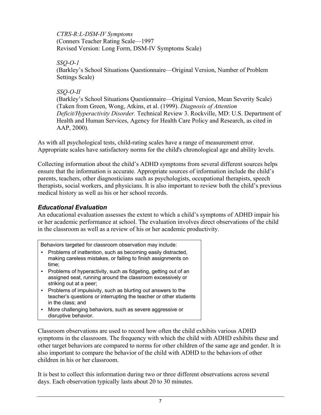<span id="page-10-0"></span> *CTRS-R:L-DSM-IV Symptoms*  (Conners Teacher Rating Scale—1997 Revised Version: Long Form, DSM-IV Symptoms Scale)

#### *SSQ-O-1*

(Barkley's School Situations Questionnaire—Original Version, Number of Problem Settings Scale)

#### *SSQ-O-II*

(Barkley's School Situations Questionnaire—Original Version, Mean Severity Scale) (Taken from Green, Wong, Atkins, et al. (1999). *Diagnosis of Attention Deficit/Hyperactivity Disorder.* Technical Review 3. Rockville, MD: U.S. Department of Health and Human Services, Agency for Health Care Policy and Research, as cited in AAP, 2000).

As with all psychological tests, child-rating scales have a range of measurement error. Appropriate scales have satisfactory norms for the child's chronological age and ability levels.

Collecting information about the child's ADHD symptoms from several different sources helps ensure that the information is accurate. Appropriate sources of information include the child's parents, teachers, other diagnosticians such as psychologists, occupational therapists, speech therapists, social workers, and physicians. It is also important to review both the child's previous medical history as well as his or her school records.

## *Educational Evaluation*

An educational evaluation assesses the extent to which a child's symptoms of ADHD impair his or her academic performance at school. The evaluation involves direct observations of the child in the classroom as well as a review of his or her academic productivity.

Behaviors targeted for classroom observation may include:

- Problems of inattention, such as becoming easily distracted, making careless mistakes, or failing to finish assignments on time;
- Problems of hyperactivity, such as fidgeting, getting out of an assigned seat, running around the classroom excessively or striking out at a peer;
- Problems of impulsivity, such as blurting out answers to the teacher's questions or interrupting the teacher or other students in the class; and
- More challenging behaviors, such as severe aggressive or disruptive behavior.

Classroom observations are used to record how often the child exhibits various ADHD symptoms in the classroom. The frequency with which the child with ADHD exhibits these and other target behaviors are compared to norms for other children of the same age and gender. It is also important to compare the behavior of the child with ADHD to the behaviors of other children in his or her classroom.

It is best to collect this information during two or three different observations across several days. Each observation typically lasts about 20 to 30 minutes.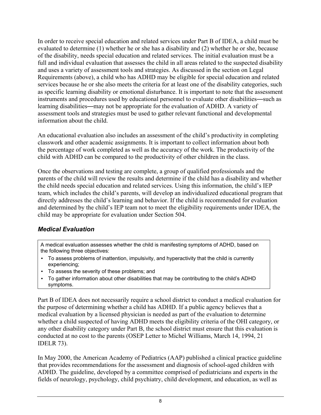<span id="page-11-0"></span>In order to receive special education and related services under Part B of IDEA, a child must be evaluated to determine (1) whether he or she has a disability and (2) whether he or she, because of the disability, needs special education and related services. The initial evaluation must be a full and individual evaluation that assesses the child in all areas related to the suspected disability and uses a variety of assessment tools and strategies. As discussed in the section on Legal Requirements (above), a child who has ADHD may be eligible for special education and related services because he or she also meets the criteria for at least one of the disability categories, such as specific learning disability or emotional disturbance. It is important to note that the assessment instruments and procedures used by educational personnel to evaluate other disabilities—such as learning disabilities—may not be appropriate for the evaluation of ADHD. A variety of assessment tools and strategies must be used to gather relevant functional and developmental information about the child.

An educational evaluation also includes an assessment of the child's productivity in completing classwork and other academic assignments. It is important to collect information about both the percentage of work completed as well as the accuracy of the work. The productivity of the child with ADHD can be compared to the productivity of other children in the class.

Once the observations and testing are complete, a group of qualified professionals and the parents of the child will review the results and determine if the child has a disability and whether the child needs special education and related services. Using this information, the child's IEP team, which includes the child's parents, will develop an individualized educational program that directly addresses the child's learning and behavior. If the child is recommended for evaluation and determined by the child's IEP team not to meet the eligibility requirements under IDEA, the child may be appropriate for evaluation under Section 504.

## *Medical Evaluation*

A medical evaluation assesses whether the child is manifesting symptoms of ADHD, based on the following three objectives:

- To assess problems of inattention, impulsivity, and hyperactivity that the child is currently experiencing;
- To assess the severity of these problems; and
- To gather information about other disabilities that may be contributing to the child's ADHD symptoms.

Part B of IDEA does not necessarily require a school district to conduct a medical evaluation for the purpose of determining whether a child has ADHD. If a public agency believes that a medical evaluation by a licensed physician is needed as part of the evaluation to determine whether a child suspected of having ADHD meets the eligibility criteria of the OHI category, or any other disability category under Part B, the school district must ensure that this evaluation is conducted at no cost to the parents (OSEP Letter to Michel Williams, March 14, 1994, 21 IDELR 73).

In May 2000, the American Academy of Pediatrics (AAP) published a clinical practice guideline that provides recommendations for the assessment and diagnosis of school-aged children with ADHD. The guideline, developed by a committee comprised of pediatricians and experts in the fields of neurology, psychology, child psychiatry, child development, and education, as well as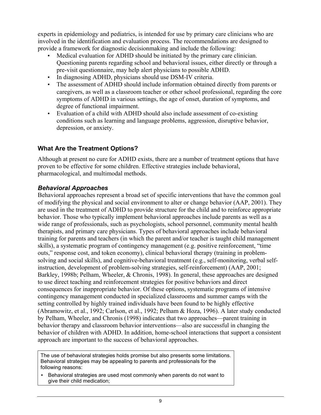<span id="page-12-0"></span>experts in epidemiology and pediatrics, is intended for use by primary care clinicians who are involved in the identification and evaluation process. The recommendations are designed to provide a framework for diagnostic decisionmaking and include the following:

- Medical evaluation for ADHD should be initiated by the primary care clinician. Questioning parents regarding school and behavioral issues, either directly or through a pre-visit questionnaire, may help alert physicians to possible ADHD. •
- In diagnosing ADHD, physicians should use DSM-IV criteria.
- The assessment of ADHD should include information obtained directly from parents or caregivers, as well as a classroom teacher or other school professional, regarding the core symptoms of ADHD in various settings, the age of onset, duration of symptoms, and degree of functional impairment.
- Evaluation of a child with ADHD should also include assessment of co-existing conditions such as learning and language problems, aggression, disruptive behavior, depression, or anxiety.

## **What Are the Treatment Options?**

Although at present no cure for ADHD exists, there are a number of treatment options that have proven to be effective for some children. Effective strategies include behavioral, pharmacological, and multimodal methods.

## *Behavioral Approaches*

Behavioral approaches represent a broad set of specific interventions that have the common goal of modifying the physical and social environment to alter or change behavior (AAP, 2001). They are used in the treatment of ADHD to provide structure for the child and to reinforce appropriate behavior. Those who typically implement behavioral approaches include parents as well as a wide range of professionals, such as psychologists, school personnel, community mental health therapists, and primary care physicians. Types of behavioral approaches include behavioral training for parents and teachers (in which the parent and/or teacher is taught child management skills), a systematic program of contingency management (e.g. positive reinforcement, "time outs," response cost, and token economy), clinical behavioral therapy (training in problemsolving and social skills), and cognitive-behavioral treatment (e.g., self-monitoring, verbal selfinstruction, development of problem-solving strategies, self-reinforcement) (AAP, 2001; Barkley, 1998b; Pelham, Wheeler, & Chronis, 1998). In general, these approaches are designed to use direct teaching and reinforcement strategies for positive behaviors and direct consequences for inappropriate behavior. Of these options, systematic programs of intensive contingency management conducted in specialized classrooms and summer camps with the setting controlled by highly trained individuals have been found to be highly effective (Abramowitz, et al., 1992; Carlson, et al., 1992; Pelham & Hoza, 1996). A later study conducted by Pelham, Wheeler, and Chronis (1998) indicates that two approaches—parent training in behavior therapy and classroom behavior interventions—also are successful in changing the behavior of children with ADHD. In addition, home-school interactions that support a consistent approach are important to the success of behavioral approaches.

The use of behavioral strategies holds promise but also presents some limitations. Behavioral strategies may be appealing to parents and professionals for the following reasons:

• Behavioral strategies are used most commonly when parents do not want to give their child medication;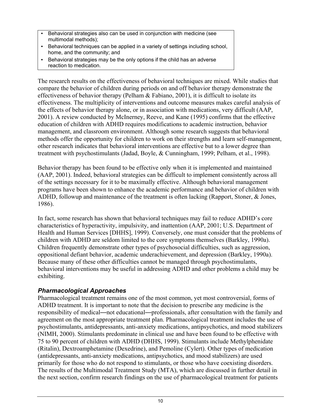- <span id="page-13-0"></span>Behavioral strategies also can be used in conjunction with medicine (see multimodal methods); •
- Behavioral techniques can be applied in a variety of settings including school, home, and the community; and
- Behavioral strategies may be the only options if the child has an adverse reaction to medication.

The research results on the effectiveness of behavioral techniques are mixed. While studies that compare the behavior of children during periods on and off behavior therapy demonstrate the effectiveness of behavior therapy (Pelham & Fabiano, 2001), it is difficult to isolate its effectiveness. The multiplicity of interventions and outcome measures makes careful analysis of the effects of behavior therapy alone, or in association with medications, very difficult (AAP, 2001). A review conducted by McInerney, Reeve, and Kane (1995) confirms that the effective education of children with ADHD requires modifications to academic instruction, behavior management, and classroom environment. Although some research suggests that behavioral methods offer the opportunity for children to work on their strengths and learn self-management, other research indicates that behavioral interventions are effective but to a lower degree than treatment with psychostimulants (Jadad, Boyle, & Cunningham, 1999; Pelham, et al., 1998).

Behavior therapy has been found to be effective only when it is implemented and maintained (AAP, 2001). Indeed, behavioral strategies can be difficult to implement consistently across all of the settings necessary for it to be maximally effective. Although behavioral management programs have been shown to enhance the academic performance and behavior of children with ADHD, followup and maintenance of the treatment is often lacking (Rapport, Stoner, & Jones, 1986).

In fact, some research has shown that behavioral techniques may fail to reduce ADHD's core characteristics of hyperactivity, impulsivity, and inattention (AAP, 2001; U.S. Department of Health and Human Services [DHHS], 1999). Conversely, one must consider that the problems of children with ADHD are seldom limited to the core symptoms themselves (Barkley, 1990a). Children frequently demonstrate other types of psychosocial difficulties, such as aggression, oppositional defiant behavior, academic underachievement, and depression (Barkley, 1990a). Because many of these other difficulties cannot be managed through psychostimulants, behavioral interventions may be useful in addressing ADHD and other problems a child may be exhibiting.

#### *Pharmacological Approaches*

Pharmacological treatment remains one of the most common, yet most controversial, forms of ADHD treatment. It is important to note that the decision to prescribe any medicine is the responsibility of medical—not educational—professionals, after consultation with the family and agreement on the most appropriate treatment plan. Pharmacological treatment includes the use of psychostimulants, antidepressants, anti-anxiety medications, antipsychotics, and mood stabilizers (NIMH, 2000). Stimulants predominate in clinical use and have been found to be effective with 75 to 90 percent of children with ADHD (DHHS, 1999). Stimulants include Methylphenidate (Ritalin), Dextroamphetamine (Dexedrine), and Pemoline (Cylert). Other types of medication (antidepressants, anti-anxiety medications, antipsychotics, and mood stabilizers) are used primarily for those who do not respond to stimulants, or those who have coexisting disorders. The results of the Multimodal Treatment Study (MTA), which are discussed in further detail in the next section, confirm research findings on the use of pharmacological treatment for patients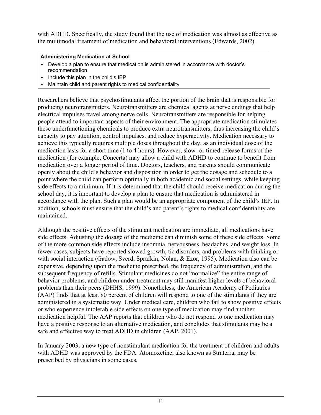with ADHD. Specifically, the study found that the use of medication was almost as effective as the multimodal treatment of medication and behavioral interventions (Edwards, 2002).

#### **Administering Medication at School**

- Develop a plan to ensure that medication is administered in accordance with doctor's recommendation
- Include this plan in the child's IEP
- Maintain child and parent rights to medical confidentiality

Researchers believe that psychostimulants affect the portion of the brain that is responsible for producing neurotransmitters. Neurotransmitters are chemical agents at nerve endings that help electrical impulses travel among nerve cells. Neurotransmitters are responsible for helping people attend to important aspects of their environment. The appropriate medication stimulates these underfunctioning chemicals to produce extra neurotransmitters, thus increasing the child's capacity to pay attention, control impulses, and reduce hyperactivity. Medication necessary to achieve this typically requires multiple doses throughout the day, as an individual dose of the medication lasts for a short time (1 to 4 hours). However, slow- or timed-release forms of the medication (for example, Concerta) may allow a child with ADHD to continue to benefit from medication over a longer period of time. Doctors, teachers, and parents should communicate openly about the child's behavior and disposition in order to get the dosage and schedule to a point where the child can perform optimally in both academic and social settings, while keeping side effects to a minimum. If it is determined that the child should receive medication during the school day, it is important to develop a plan to ensure that medication is administered in accordance with the plan. Such a plan would be an appropriate component of the child's IEP. In addition, schools must ensure that the child's and parent's rights to medical confidentiality are maintained.

Although the positive effects of the stimulant medication are immediate, all medications have side effects. Adjusting the dosage of the medicine can diminish some of these side effects. Some of the more common side effects include insomnia, nervousness, headaches, and weight loss. In fewer cases, subjects have reported slowed growth, tic disorders, and problems with thinking or with social interaction (Gadow, Sverd, Sprafkin, Nolan, & Ezor, 1995). Medication also can be expensive, depending upon the medicine prescribed, the frequency of administration, and the subsequent frequency of refills. Stimulant medicines do not "normalize" the entire range of behavior problems, and children under treatment may still manifest higher levels of behavioral problems than their peers (DHHS, 1999). Nonetheless, the American Academy of Pediatrics (AAP) finds that at least 80 percent of children will respond to one of the stimulants if they are administered in a systematic way. Under medical care, children who fail to show positive effects or who experience intolerable side effects on one type of medication may find another medication helpful. The AAP reports that children who do not respond to one medication may have a positive response to an alternative medication, and concludes that stimulants may be a safe and effective way to treat ADHD in children (AAP, 2001).

In January 2003, a new type of nonstimulant medication for the treatment of children and adults with ADHD was approved by the FDA. Atomoxetine, also known as Straterra, may be prescribed by physicians in some cases.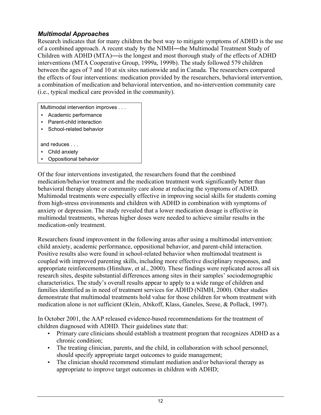## <span id="page-15-0"></span>*Multimodal Approaches*

Research indicates that for many children the best way to mitigate symptoms of ADHD is the use of a combined approach. A recent study by the NIMH—the Multimodal Treatment Study of Children with ADHD (MTA)—is the longest and most thorough study of the effects of ADHD interventions (MTA Cooperative Group, 1999a, 1999b). The study followed 579 children between the ages of 7 and 10 at six sites nationwide and in Canada. The researchers compared the effects of four interventions: medication provided by the researchers, behavioral intervention, a combination of medication and behavioral intervention, and no-intervention community care (i.e., typical medical care provided in the community).

Multimodal intervention improves . . .

- Academic performance
- Parent-child interaction
- School-related behavior

and reduces . . .

- Child anxiety
- Oppositional behavior

Of the four interventions investigated, the researchers found that the combined medication/behavior treatment and the medication treatment work significantly better than behavioral therapy alone or community care alone at reducing the symptoms of ADHD. Multimodal treatments were especially effective in improving social skills for students coming from high-stress environments and children with ADHD in combination with symptoms of anxiety or depression. The study revealed that a lower medication dosage is effective in multimodal treatments, whereas higher doses were needed to achieve similar results in the medication-only treatment.

Researchers found improvement in the following areas after using a multimodal intervention: child anxiety, academic performance, oppositional behavior, and parent-child interaction. Positive results also were found in school-related behavior when multimodal treatment is coupled with improved parenting skills, including more effective disciplinary responses, and appropriate reinforcements (Hinshaw, et al., 2000). These findings were replicated across all six research sites, despite substantial differences among sites in their samples' sociodemographic characteristics. The study's overall results appear to apply to a wide range of children and families identified as in need of treatment services for ADHD (NIMH, 2000). Other studies demonstrate that multimodal treatments hold value for those children for whom treatment with medication alone is not sufficient (Klein, Abikoff, Klass, Ganeles, Seese, & Pollack, 1997).

In October 2001, the AAP released evidence-based recommendations for the treatment of children diagnosed with ADHD. Their guidelines state that:

- Primary care clinicians should establish a treatment program that recognizes ADHD as a chronic condition;
- The treating clinician, parents, and the child, in collaboration with school personnel, should specify appropriate target outcomes to guide management;
- The clinician should recommend stimulant mediation and/or behavioral therapy as appropriate to improve target outcomes in children with ADHD;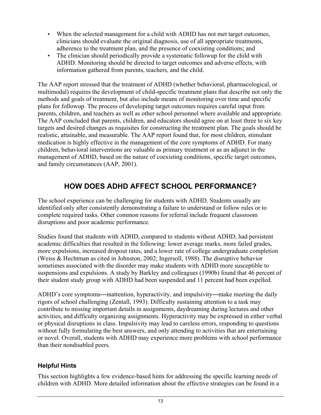- <span id="page-16-0"></span>• When the selected management for a child with ADHD has not met target outcomes, clinicians should evaluate the original diagnosis, use of all appropriate treatments, adherence to the treatment plan, and the presence of coexisting conditions; and
- The clinician should periodically provide a systematic followup for the child with ADHD. Monitoring should be directed to target outcomes and adverse effects, with information gathered from parents, teachers, and the child.

The AAP report stressed that the treatment of ADHD (whether behavioral, pharmacological, or multimodal) requires the development of child-specific treatment plans that describe not only the methods and goals of treatment, but also include means of monitoring over time and specific plans for followup. The process of developing target outcomes requires careful input from parents, children, and teachers as well as other school personnel where available and appropriate. The AAP concluded that parents, children, and educators should agree on at least three to six key targets and desired changes as requisites for constructing the treatment plan. The goals should be realistic, attainable, and measurable. The AAP report found that, for most children, stimulant medication is highly effective in the management of the core symptoms of ADHD. For many children, behavioral interventions are valuable as primary treatment or as an adjunct in the management of ADHD, based on the nature of coexisting conditions, specific target outcomes, and family circumstances (AAP, 2001).

# **HOW DOES ADHD AFFECT SCHOOL PERFORMANCE?**

The school experience can be challenging for students with ADHD. Students usually are identified only after consistently demonstrating a failure to understand or follow rules or to complete required tasks. Other common reasons for referral include frequent classroom disruptions and poor academic performance.

Studies found that students with ADHD, compared to students without ADHD, had persistent academic difficulties that resulted in the following: lower average marks, more failed grades, more expulsions, increased dropout rates, and a lower rate of college undergraduate completion (Weiss & Hechtman as cited in Johnston, 2002; Ingersoll, 1988). The disruptive behavior sometimes associated with the disorder may make students with ADHD more susceptible to suspensions and expulsions. A study by Barkley and colleagues (1990b) found that 46 percent of their student study group with ADHD had been suspended and 11 percent had been expelled.

ADHD's core symptoms—inattention, hyperactivity, and impulsivity—make meeting the daily rigors of school challenging (Zentall, 1993). Difficulty sustaining attention to a task may contribute to missing important details in assignments, daydreaming during lectures and other activities, and difficulty organizing assignments. Hyperactivity may be expressed in either verbal or physical disruptions in class. Impulsivity may lead to careless errors, responding to questions without fully formulating the best answers, and only attending to activities that are entertaining or novel. Overall, students with ADHD may experience more problems with school performance than their nondisabled peers.

## **Helpful Hints**

This section highlights a few evidence-based hints for addressing the specific learning needs of children with ADHD. More detailed information about the effective strategies can be found in a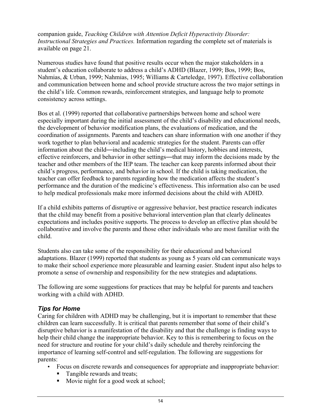<span id="page-17-0"></span>companion guide, *Teaching Children with Attention Deficit Hyperactivity Disorder: Instructional Strategies and Practices.* Information regarding the complete set of materials is available on page 21.

Numerous studies have found that positive results occur when the major stakeholders in a student's education collaborate to address a child's ADHD (Blazer, 1999; Bos, 1999; Bos, Nahmias, & Urban, 1999; Nahmias, 1995; Williams & Carteledge, 1997). Effective collaboration and communication between home and school provide structure across the two major settings in the child's life. Common rewards, reinforcement strategies, and language help to promote consistency across settings.

Bos et al. (1999) reported that collaborative partnerships between home and school were especially important during the initial assessment of the child's disability and educational needs, the development of behavior modification plans, the evaluations of medication, and the coordination of assignments. Parents and teachers can share information with one another if they work together to plan behavioral and academic strategies for the student. Parents can offer information about the child—including the child's medical history, hobbies and interests, effective reinforcers, and behavior in other settings—that may inform the decisions made by the teacher and other members of the IEP team. The teacher can keep parents informed about their child's progress, performance, and behavior in school. If the child is taking medication, the teacher can offer feedback to parents regarding how the medication affects the student's performance and the duration of the medicine's effectiveness. This information also can be used to help medical professionals make more informed decisions about the child with ADHD.

If a child exhibits patterns of disruptive or aggressive behavior, best practice research indicates that the child may benefit from a positive behavioral intervention plan that clearly delineates expectations and includes positive supports. The process to develop an effective plan should be collaborative and involve the parents and those other individuals who are most familiar with the child.

Students also can take some of the responsibility for their educational and behavioral adaptations. Blazer (1999) reported that students as young as 5 years old can communicate ways to make their school experience more pleasurable and learning easier. Student input also helps to promote a sense of ownership and responsibility for the new strategies and adaptations.

The following are some suggestions for practices that may be helpful for parents and teachers working with a child with ADHD.

## *Tips for Home*

Caring for children with ADHD may be challenging, but it is important to remember that these children can learn successfully. It is critical that parents remember that some of their child's disruptive behavior is a manifestation of the disability and that the challenge is finding ways to help their child change the inappropriate behavior. Key to this is remembering to focus on the need for structure and routine for your child's daily schedule and thereby reinforcing the importance of learning self-control and self-regulation. The following are suggestions for parents:

- Focus on discrete rewards and consequences for appropriate and inappropriate behavior:
	- Tangible rewards and treats;
	- Movie night for a good week at school;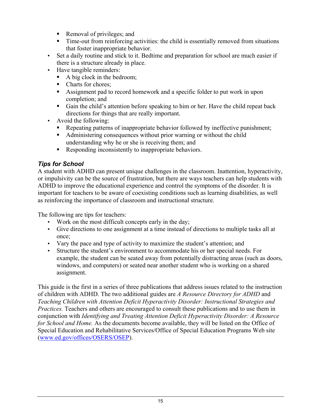- <span id="page-18-0"></span>Removal of privileges; and
- **Time-out from reinforcing activities: the child is essentially removed from situations** that foster inappropriate behavior.
- Set a daily routine and stick to it. Bedtime and preparation for school are much easier if there is a structure already in place.
- Have tangible reminders:
	- $\blacksquare$  A big clock in the bedroom;
	- Charts for chores:
	- Assignment pad to record homework and a specific folder to put work in upon completion; and
	- Gain the child's attention before speaking to him or her. Have the child repeat back directions for things that are really important.
- Avoid the following:
	- Repeating patterns of inappropriate behavior followed by ineffective punishment;
	- Administering consequences without prior warning or without the child understanding why he or she is receiving them; and
	- Responding inconsistently to inappropriate behaviors.

## *Tips for School*

A student with ADHD can present unique challenges in the classroom. Inattention, hyperactivity, or impulsivity can be the source of frustration, but there are ways teachers can help students with ADHD to improve the educational experience and control the symptoms of the disorder. It is important for teachers to be aware of coexisting conditions such as learning disabilities, as well as reinforcing the importance of classroom and instructional structure.

The following are tips for teachers:

- Work on the most difficult concepts early in the day;
- Give directions to one assignment at a time instead of directions to multiple tasks all at once;
- Vary the pace and type of activity to maximize the student's attention; and
- Structure the student's environment to accommodate his or her special needs. For example, the student can be seated away from potentially distracting areas (such as doors, windows, and computers) or seated near another student who is working on a shared assignment.

This guide is the first in a series of three publications that address issues related to the instruction of children with ADHD. The two additional guides are *A Resource Directory for ADHD* and *Teaching Children with Attention Deficit Hyperactivity Disorder: Instructional Strategies and Practices.* Teachers and others are encouraged to consult these publications and to use them in conjunction with *Identifying and Treating Attention Deficit Hyperactivity Disorder: A Resource for School and Home.* As the documents become available, they will be listed on the Office of Special Education and Rehabilitative Services/Office of Special Education Programs Web site ([www.ed.gov/offices/OSERS/OSEP\)](http://www.ed.gov/offices/OSERS/OSEP).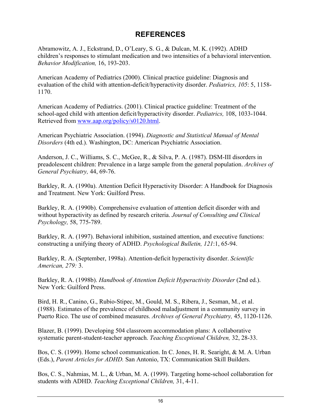## **REFERENCES**

<span id="page-19-0"></span>Abramowitz, A. J., Eckstrand, D., O'Leary, S. G., & Dulcan, M. K. (1992). ADHD children's responses to stimulant medication and two intensities of a behavioral intervention. *Behavior Modification,* 16, 193-203.

American Academy of Pediatrics (2000). Clinical practice guideline: Diagnosis and evaluation of the child with attention-deficit/hyperactivity disorder. *Pediatrics, 105*: 5, 1158- 1170.

American Academy of Pediatrics. (2001). Clinical practice guideline: Treatment of the school-aged child with attention deficit/hyperactivity disorder. *Pediatrics,* 108, 1033-1044. Retrieved from [www.aap.org/policy/s0120.html.](http://www.aap.org/policy/s0120.html)

American Psychiatric Association. (1994). *Diagnostic and Statistical Manual of Mental Disorders* (4th ed.). Washington, DC: American Psychiatric Association.

Anderson, J. C., Williams, S. C., McGee, R., & Silva, P. A. (1987). DSM-III disorders in preadolescent children: Prevalence in a large sample from the general population. *Archives of General Psychiatry,* 44, 69-76.

Barkley, R. A. (1990a). Attention Deficit Hyperactivity Disorder: A Handbook for Diagnosis and Treatment. New York: Guilford Press.

Barkley, R. A. (1990b). Comprehensive evaluation of attention deficit disorder with and without hyperactivity as defined by research criteria. *Journal of Consulting and Clinical Psychology,* 58, 775-789.

Barkley, R. A. (1997). Behavioral inhibition, sustained attention, and executive functions: constructing a unifying theory of ADHD. *Psychological Bulletin, 121*:1, 65-94.

Barkley, R. A. (September, 1998a). Attention-deficit hyperactivity disorder. *Scientific American, 279:* 3.

Barkley, R. A. (1998b). *Handbook of Attention Deficit Hyperactivity Disorder* (2nd ed.). New York: Guilford Press.

Bird, H. R., Canino, G., Rubio-Stipec, M., Gould, M. S., Ribera, J., Sesman, M., et al. (1988). Estimates of the prevalence of childhood maladjustment in a community survey in Puerto Rico. The use of combined measures. *Archives of General Psychiatry,* 45, 1120-1126.

Blazer, B. (1999). Developing 504 classroom accommodation plans: A collaborative systematic parent-student-teacher approach. *Teaching Exceptional Children,* 32, 28-33.

Bos, C. S. (1999). Home school communication. In C. Jones, H. R. Searight, & M. A. Urban (Eds.), *Parent Articles for ADHD.* San Antonio, TX: Communication Skill Builders.

Bos, C. S., Nahmias, M. L., & Urban, M. A. (1999). Targeting home-school collaboration for students with ADHD. *Teaching Exceptional Children,* 31, 4-11.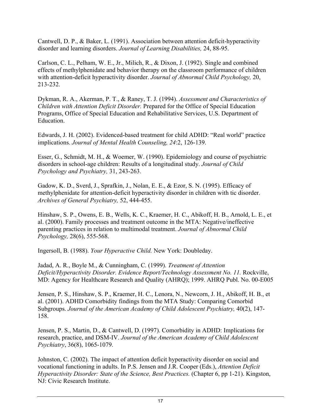Cantwell, D. P., & Baker, L. (1991). Association between attention deficit-hyperactivity disorder and learning disorders. *Journal of Learning Disabilities,* 24, 88-95.

Carlson, C. L., Pelham, W. E., Jr., Milich, R., & Dixon, J. (1992). Single and combined effects of methylphenidate and behavior therapy on the classroom performance of children with attention-deficit hyperactivity disorder. *Journal of Abnormal Child Psychology,* 20, 213-232.

Dykman, R. A., Akerman, P. T., & Raney, T. J. (1994). *Assessment and Characteristics of Children with Attention Deficit Disorder.* Prepared for the Office of Special Education Programs, Office of Special Education and Rehabilitative Services, U.S. Department of Education.

Edwards, J. H. (2002). Evidenced-based treatment for child ADHD: "Real world" practice implications. *Journal of Mental Health Counseling, 24*:2, 126-139.

Esser, G., Schmidt, M. H., & Woemer, W. (1990). Epidemiology and course of psychiatric disorders in school-age children: Results of a longitudinal study. *Journal of Child Psychology and Psychiatry,* 31, 243-263.

Gadow, K. D., Sverd, J., Sprafkin, J., Nolan, E. E., & Ezor, S. N. (1995). Efficacy of methylphenidate for attention-deficit hyperactivity disorder in children with tic disorder. *Archives of General Psychiatry,* 52, 444-455.

Hinshaw, S. P., Owens, E. B., Wells, K. C., Kraemer, H. C., Abikoff, H. B., Arnold, L. E., et al. (2000). Family processes and treatment outcome in the MTA: Negative/ineffective parenting practices in relation to multimodal treatment. *Journal of Abnormal Child Psychology,* 28(6), 555-568.

Ingersoll, B. (1988). *Your Hyperactive Child.* New York: Doubleday.

Jadad, A. R., Boyle M., & Cunningham, C. (1999). *Treatment of Attention Deficit/Hyperactivity Disorder. Evidence Report/Technology Assessment No. 11. Rockville,* MD: Agency for Healthcare Research and Quality (AHRQ); 1999. AHRQ Publ. No. 00-E005

Jensen, P. S., Hinshaw, S. P., Kraemer, H. C., Lenora, N., Newcorn, J. H., Abikoff, H. B., et al. (2001). ADHD Comorbidity findings from the MTA Study: Comparing Comorbid Subgroups. *Journal of the American Academy of Child Adolescent Psychiatry,* 40(2), 147- 158.

Jensen, P. S., Martin, D., & Cantwell, D. (1997). Comorbidity in ADHD: Implications for research, practice, and DSM-IV. *Journal of the American Academy of Child Adolescent Psychiatry*, 36(8), 1065-1079.

Johnston, C. (2002). The impact of attention deficit hyperactivity disorder on social and vocational functioning in adults. In P.S. Jensen and J.R. Cooper (Eds.), *Attention Deficit Hyperactivity Disorder: State of the Science, Best Practices.* (Chapter 6, pp 1-21). Kingston, NJ: Civic Research Institute.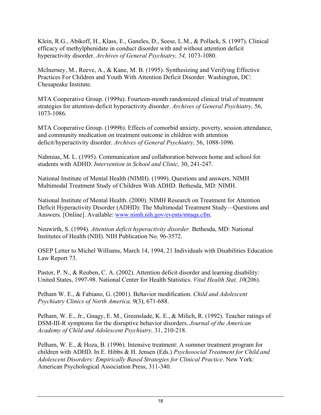Klein, R.G., Abikoff, H., Klass, E., Ganeles, D., Seese, L.M., & Pollack, S. (1997). Clinical efficacy of methylphenidate in conduct disorder with and without attention deficit hyperactivity disorder. *Archives of General Psychiatry, 54,* 1073-1080.

McInerney, M., Reeve, A., & Kane, M. B. (1995). Synthesizing and Verifying Effective Practices For Children and Youth With Attention Deficit Disorder. Washington, DC: Chesapeake Institute.

MTA Cooperative Group. (1999a). Fourteen-month randomized clinical trial of treatment strategies for attention-deficit hyperactivity disorder. *Archives of General Psychiatry,* 56, 1073-1086.

MTA Cooperative Group. (1999b). Effects of comorbid anxiety, poverty, session attendance, and community medication on treatment outcome in children with attention deficit/hyperactivity disorder. *Archives of General Psychiatry,* 56, 1088-1096.

Nahmias, M. L. (1995). Communication and collaboration between home and school for students with ADHD. *Intervention in School and Clinic,* 30, 241-247.

National Institute of Mental Health (NIMH). (1999). Questions and answers. NIMH Multimodal Treatment Study of Children With ADHD. Bethesda, MD: NIMH.

National Institute of Mental Health. (2000). NIMH Research on Treatment for Attention Deficit Hyperactivity Disorder (ADHD): The Multimodal Treatment Study—Questions and Answers. [Online]. Available: [www.nimh.nih.gov/events/mtaqa.cfm.](http://www.nimh.nih.gov/events/mtaqa.cfm)

Neuwirth, S. (1994). *Attention deficit hyperactivity disorder.* Bethesda, MD: National Institutes of Health (NIH). NIH Publication No. 96-3572.

OSEP Letter to Michel Williams, March 14, 1994, 21 Individuals with Disabilities Education Law Report 73.

Pastor, P. N., & Reuben, C. A. (2002). Attention deficit disorder and learning disability: United States, 1997-98. National Center for Health Statistics. *Vital Health Stat, 10*(206).

Pelham W. E., & Fabiano, G. (2001). Behavior modification. *Child and Adolescent Psychiatry Clinics of North America,* 9(3), 671-688.

Pelham, W. E., Jr., Gnagy, E. M., Greenslade, K. E., & Milich, R. (1992). Teacher ratings of DSM-III-R symptoms for the disruptive behavior disorders. *Journal of the American Academy of Child and Adolescent Psychiatry,* 31, 210-218.

Pelham, W. E., & Hoza, B. (1996). Intensive treatment: A summer treatment program for children with ADHD. In E. Hibbs & H. Jensen (Eds.) *Psychosocial Treatment for Child and Adolescent Disorders: Empirically Based Strategies for Clinical Practice*. New York: American Psychological Association Press, 311-340.